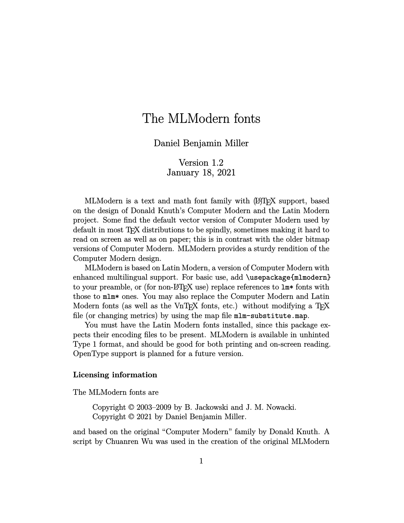## The MLModern fonts

## Daniel Benjamin Miller

Version 1.2 January 18, 2021

MLModern is a text and math font family with (A)T<sub>E</sub>X support, based on the design of Donald Knuth's Computer Modern and the Latin Modern project. Some find the default vector version of Computer Modern used by default in most T<sub>F</sub>X distributions to be spindly, sometimes making it hard to read on screen as well as on paper; this is in contrast with the older bitmap versions of Computer Modern. MLModern provides a sturdy rendition of the Computer Modern design.

MLModern is based on Latin Modern, a version of Computer Modern with enhanced multilingual support. For basic use, add \usepackage{mlmodern} to your preamble, or (for non- $\mathbb{F}T_F X$  use) replace references to  $\mathbb{L}m^*$  fonts with those to mlm\* ones. You may also replace the Computer Modern and Latin Modern fonts (as well as the VnT<sub>EX</sub> fonts, etc.) without modifying a  $T_{EX}$ file (or changing metrics) by using the map file mlm-substitute.map.

You must have the Latin Modern fonts installed, since this package expects their encoding files to be present. MLModern is available in unhinted Type 1 format, and should be good for both printing and on-screen reading. OpenType support is planned for a future version.

## **Licensing information**

The MLModern fonts are

Copyright © 2003–2009 by B. Jackowski and J. M. Nowacki. Copyright © 2021 by Daniel Benjamin Miller.

and based on the original "Computer Modern" family by Donald Knuth. A script by Chuanren Wu was used in the creation of the original MLModern